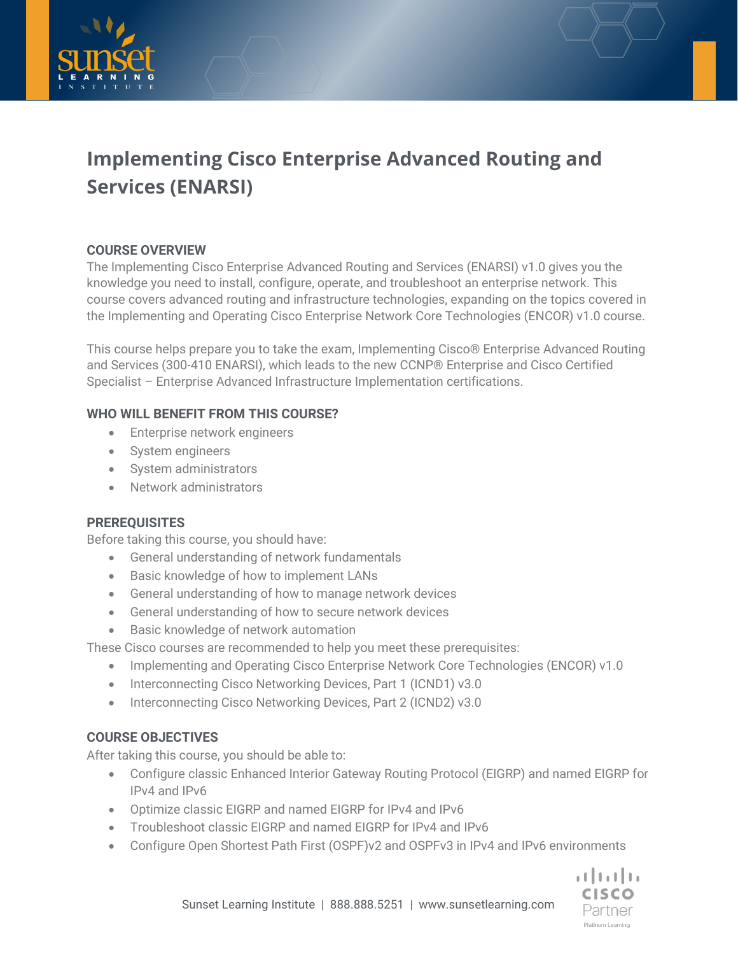



# **Implementing Cisco Enterprise Advanced Routing and Services (ENARSI)**

## **COURSE OVERVIEW**

The Implementing Cisco Enterprise Advanced Routing and Services (ENARSI) v1.0 gives you the knowledge you need to install, configure, operate, and troubleshoot an enterprise network. This course covers advanced routing and infrastructure technologies, expanding on the topics covered in the Implementing and Operating Cisco Enterprise Network Core Technologies (ENCOR) v1.0 course.

This course helps prepare you to take the exam, Implementing Cisco® Enterprise Advanced Routing and Services (300-410 ENARSI), which leads to the new CCNP® Enterprise and Cisco Certified Specialist – Enterprise Advanced Infrastructure Implementation certifications.

## **WHO WILL BENEFIT FROM THIS COURSE?**

- Enterprise network engineers
- System engineers
- System administrators
- Network administrators

## **PREREQUISITES**

Before taking this course, you should have:

- General understanding of network fundamentals
- Basic knowledge of how to implement LANs
- General understanding of how to manage network devices
- General understanding of how to secure network devices
- Basic knowledge of network automation

These Cisco courses are recommended to help you meet these prerequisites:

- Implementing and Operating Cisco Enterprise Network Core Technologies (ENCOR) v1.0
- Interconnecting Cisco Networking Devices, Part 1 (ICND1) v3.0
- Interconnecting Cisco Networking Devices, Part 2 (ICND2) v3.0

## **COURSE OBJECTIVES**

After taking this course, you should be able to:

- Configure classic Enhanced Interior Gateway Routing Protocol (EIGRP) and named EIGRP for IPv4 and IPv6
- Optimize classic EIGRP and named EIGRP for IPv4 and IPv6
- Troubleshoot classic EIGRP and named EIGRP for IPv4 and IPv6
- Configure Open Shortest Path First (OSPF)v2 and OSPFv3 in IPv4 and IPv6 environments

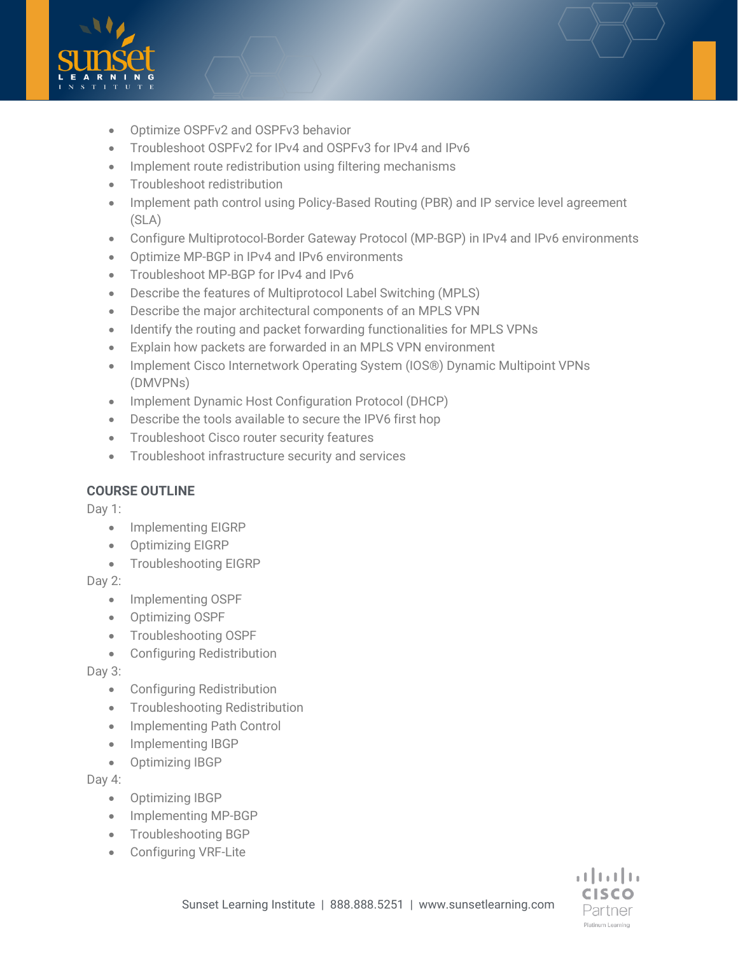

- Optimize OSPFv2 and OSPFv3 behavior
- Troubleshoot OSPFv2 for IPv4 and OSPFv3 for IPv4 and IPv6
- Implement route redistribution using filtering mechanisms
- Troubleshoot redistribution
- Implement path control using Policy-Based Routing (PBR) and IP service level agreement (SLA)
- Configure Multiprotocol-Border Gateway Protocol (MP-BGP) in IPv4 and IPv6 environments
- Optimize MP-BGP in IPv4 and IPv6 environments
- Troubleshoot MP-BGP for IPv4 and IPv6
- Describe the features of Multiprotocol Label Switching (MPLS)
- Describe the major architectural components of an MPLS VPN
- Identify the routing and packet forwarding functionalities for MPLS VPNs
- Explain how packets are forwarded in an MPLS VPN environment
- Implement Cisco Internetwork Operating System (IOS®) Dynamic Multipoint VPNs (DMVPNs)
- Implement Dynamic Host Configuration Protocol (DHCP)
- Describe the tools available to secure the IPV6 first hop
- Troubleshoot Cisco router security features
- Troubleshoot infrastructure security and services

## **COURSE OUTLINE**

Day 1:

- Implementing EIGRP
- Optimizing EIGRP
- Troubleshooting EIGRP

Day 2:

- Implementing OSPF
- Optimizing OSPF
- Troubleshooting OSPF
- Configuring Redistribution

Day 3:

- Configuring Redistribution
- Troubleshooting Redistribution
- Implementing Path Control
- Implementing IBGP
- Optimizing IBGP

Day 4:

- Optimizing IBGP
- Implementing MP-BGP
- Troubleshooting BGP
- Configuring VRF-Lite

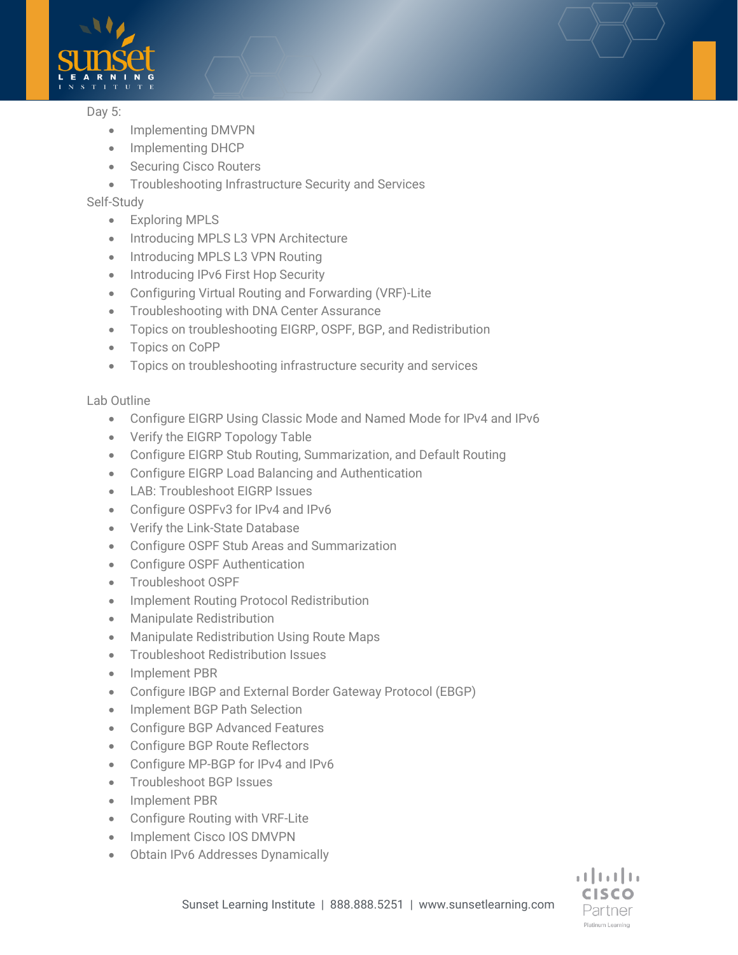

#### Day 5:

- Implementing DMVPN
- Implementing DHCP
- Securing Cisco Routers
- Troubleshooting Infrastructure Security and Services

### Self-Study

- Exploring MPLS
- Introducing MPLS L3 VPN Architecture
- Introducing MPLS L3 VPN Routing
- Introducing IPv6 First Hop Security
- Configuring Virtual Routing and Forwarding (VRF)-Lite
- Troubleshooting with DNA Center Assurance
- Topics on troubleshooting EIGRP, OSPF, BGP, and Redistribution
- Topics on CoPP
- Topics on troubleshooting infrastructure security and services

#### Lab Outline

- Configure EIGRP Using Classic Mode and Named Mode for IPv4 and IPv6
- Verify the EIGRP Topology Table
- Configure EIGRP Stub Routing, Summarization, and Default Routing
- Configure EIGRP Load Balancing and Authentication
- LAB: Troubleshoot EIGRP Issues
- Configure OSPFv3 for IPv4 and IPv6
- Verify the Link-State Database
- Configure OSPF Stub Areas and Summarization
- Configure OSPF Authentication
- Troubleshoot OSPF
- Implement Routing Protocol Redistribution
- Manipulate Redistribution
- Manipulate Redistribution Using Route Maps
- Troubleshoot Redistribution Issues
- Implement PBR
- Configure IBGP and External Border Gateway Protocol (EBGP)
- Implement BGP Path Selection
- Configure BGP Advanced Features
- Configure BGP Route Reflectors
- Configure MP-BGP for IPv4 and IPv6
- Troubleshoot BGP Issues
- Implement PBR
- Configure Routing with VRF-Lite
- Implement Cisco IOS DMVPN
- Obtain IPv6 Addresses Dynamically